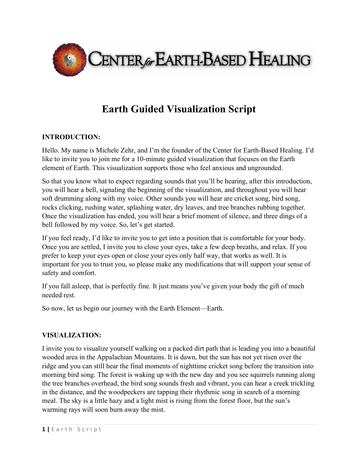

## **Earth Guided Visualization Script**

## **INTRODUCTION:**

Hello. My name is Michele Zehr, and I'm the founder of the Center for Earth-Based Healing. I'd like to invite you to join me for a 10-minute guided visualization that focuses on the Earth element of Earth. This visualization supports those who feel anxious and ungrounded.

So that you know what to expect regarding sounds that you'll be hearing, after this introduction, you will hear a bell, signaling the beginning of the visualization, and throughout you will hear soft drumming along with my voice. Other sounds you will hear are cricket song, bird song, rocks clicking, rushing water, splashing water, dry leaves, and tree branches rubbing together. Once the visualization has ended, you will hear a brief moment of silence, and three dings of a bell followed by my voice. So, let's get started.

If you feel ready, I'd like to invite you to get into a position that is comfortable for your body. Once you are settled, I invite you to close your eyes, take a few deep breaths, and relax. If you prefer to keep your eyes open or close your eyes only half way, that works as well. It is important for you to trust you, so please make any modifications that will support your sense of safety and comfort.

If you fall asleep, that is perfectly fine. It just means you've given your body the gift of much needed rest.

So now, let us begin our journey with the Earth Element—Earth.

## **VISUALIZATION:**

I invite you to visualize yourself walking on a packed dirt path that is leading you into a beautiful wooded area in the Appalachian Mountains. It is dawn, but the sun has not yet risen over the ridge and you can still hear the final moments of nighttime cricket song before the transition into morning bird song. The forest is waking up with the new day and you see squirrels running along the tree branches overhead, the bird song sounds fresh and vibrant, you can hear a creek trickling in the distance, and the woodpeckers are tapping their rhythmic song in search of a morning meal. The sky is a little hazy and a light mist is rising from the forest floor, but the sun's warming rays will soon burn away the mist.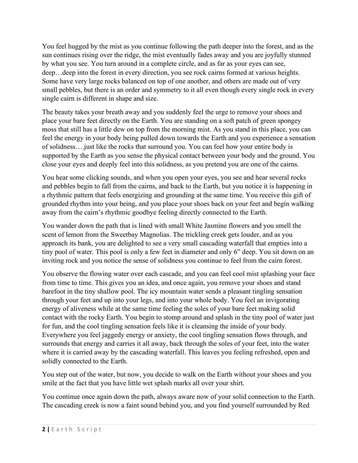You feel hugged by the mist as you continue following the path deeper into the forest, and as the sun continues rising over the ridge, the mist eventually fades away and you are joyfully stunned by what you see. You turn around in a complete circle, and as far as your eyes can see, deep…deep into the forest in every direction, you see rock cairns formed at various heights. Some have very large rocks balanced on top of one another, and others are made out of very small pebbles, but there is an order and symmetry to it all even though every single rock in every single cairn is different in shape and size.

The beauty takes your breath away and you suddenly feel the urge to remove your shoes and place your bare feet directly on the Earth. You are standing on a soft patch of green spongey moss that still has a little dew on top from the morning mist. As you stand in this place, you can feel the energy in your body being pulled down towards the Earth and you experience a sensation of solidness….just like the rocks that surround you. You can feel how your entire body is supported by the Earth as you sense the physical contact between your body and the ground. You close your eyes and deeply feel into this solidness, as you pretend you are one of the cairns.

You hear some clicking sounds, and when you open your eyes, you see and hear several rocks and pebbles begin to fall from the cairns, and back to the Earth, but you notice it is happening in a rhythmic pattern that feels energizing and grounding at the same time. You receive this gift of grounded rhythm into your being, and you place your shoes back on your feet and begin walking away from the cairn's rhythmic goodbye feeling directly connected to the Earth.

You wander down the path that is lined with small White Jasmine flowers and you smell the scent of lemon from the Sweetbay Magnolias. The trickling creek gets louder, and as you approach its bank, you are delighted to see a very small cascading waterfall that empties into a tiny pool of water. This pool is only a few feet in diameter and only 6" deep. You sit down on an inviting rock and you notice the sense of solidness you continue to feel from the cairn forest.

You observe the flowing water over each cascade, and you can feel cool mist splashing your face from time to time. This gives you an idea, and once again, you remove your shoes and stand barefoot in the tiny shallow pool. The icy mountain water sends a pleasant tingling sensation through your feet and up into your legs, and into your whole body. You feel an invigorating energy of aliveness while at the same time feeling the soles of your bare feet making solid contact with the rocky Earth. You begin to stomp around and splash in the tiny pool of water just for fun, and the cool tingling sensation feels like it is cleansing the inside of your body. Everywhere you feel jaggedy energy or anxiety, the cool tingling sensation flows through, and surrounds that energy and carries it all away, back through the soles of your feet, into the water where it is carried away by the cascading waterfall. This leaves you feeling refreshed, open and solidly connected to the Earth.

You step out of the water, but now, you decide to walk on the Earth without your shoes and you smile at the fact that you have little wet splash marks all over your shirt.

You continue once again down the path, always aware now of your solid connection to the Earth. The cascading creek is now a faint sound behind you, and you find yourself surrounded by Red